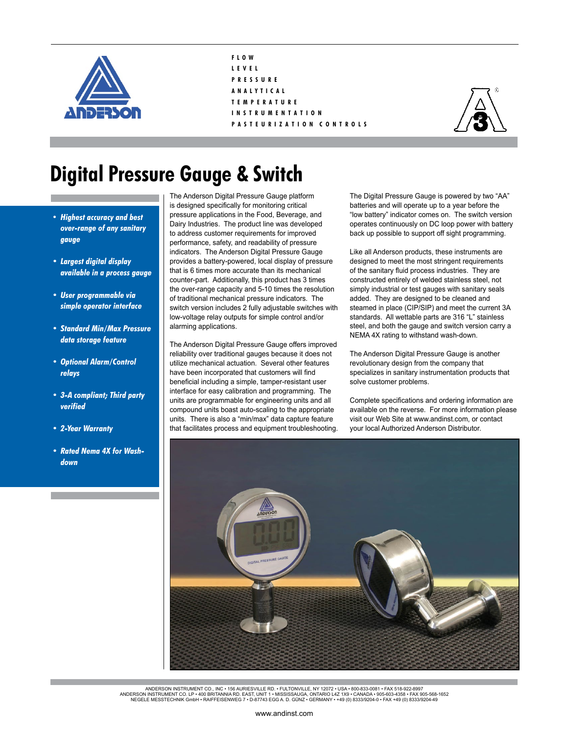

- **F L O W L E V E L P R E S S U R E A N A L Y T I C A L T E M P E R A T U R E**
- **I N S T R U M E N T A T I O N**
- **P A S T E U R I Z A T I O N C O N T R O L S**



## **Digital Pressure Gauge & Switch**

- *• Highest accuracy and best over-range of any sanitary gauge*
- *• Largest digital display available in a process gauge*
- *• User programmable via simple operator interface*
- *• Standard Min/Max Pressure data storage feature*
- *• Optional Alarm/Control relays*
- *• 3-A compliant; Third party verified*
- *• 2-Year Warranty*
- *• Rated Nema 4X for Washdown*

The Anderson Digital Pressure Gauge platform is designed specifically for monitoring critical pressure applications in the Food, Beverage, and Dairy Industries. The product line was developed to address customer requirements for improved performance, safety, and readability of pressure indicators. The Anderson Digital Pressure Gauge provides a battery-powered, local display of pressure that is 6 times more accurate than its mechanical counter-part. Additionally, this product has 3 times the over-range capacity and 5-10 times the resolution of traditional mechanical pressure indicators. The switch version includes 2 fully adjustable switches with low-voltage relay outputs for simple control and/or alarming applications.

The Anderson Digital Pressure Gauge offers improved reliability over traditional gauges because it does not utilize mechanical actuation. Several other features have been incorporated that customers will find beneficial including a simple, tamper-resistant user interface for easy calibration and programming. The units are programmable for engineering units and all compound units boast auto-scaling to the appropriate units. There is also a "min/max" data capture feature that facilitates process and equipment troubleshooting.

The Digital Pressure Gauge is powered by two "AA" batteries and will operate up to a year before the "low battery" indicator comes on. The switch version operates continuously on DC loop power with battery back up possible to support off sight programming.

Like all Anderson products, these instruments are designed to meet the most stringent requirements of the sanitary fluid process industries. They are constructed entirely of welded stainless steel, not simply industrial or test gauges with sanitary seals added. They are designed to be cleaned and steamed in place (CIP/SIP) and meet the current 3A standards. All wettable parts are 316 "L" stainless steel, and both the gauge and switch version carry a NEMA 4X rating to withstand wash-down.

The Anderson Digital Pressure Gauge is another revolutionary design from the company that specializes in sanitary instrumentation products that solve customer problems.

Complete specifications and ordering information are available on the reverse. For more information please visit our Web Site at www.andinst.com, or contact your local Authorized Anderson Distributor.



ANDERSON INSTRUMENT CO., INC • 156 AURIESVILLE RD. • FULTONVILLE, NY 12072 • USA • 800-833-0081 • FAX 518-922-8997<br>ANDERSON INSTRUMENT CO. LP • 400 BRITANNIA RD. EAST, UNIT 1 • MISSISSAUGA, ONTARIO L42 1X9 • CANADA • 905-6